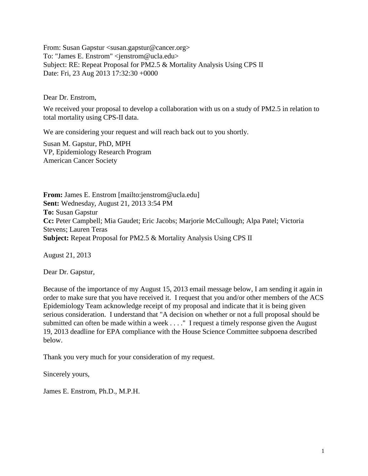From: Susan Gapstur <susan.gapstur@cancer.org> To: "James E. Enstrom" <jenstrom@ucla.edu> Subject: RE: Repeat Proposal for PM2.5 & Mortality Analysis Using CPS II Date: Fri, 23 Aug 2013 17:32:30 +0000

Dear Dr. Enstrom,

We received your proposal to develop a collaboration with us on a study of PM2.5 in relation to total mortality using CPS-II data.

We are considering your request and will reach back out to you shortly.

Susan M. Gapstur, PhD, MPH VP, Epidemiology Research Program American Cancer Society

**From:** James E. Enstrom [mailto:jenstrom@ucla.edu] **Sent:** Wednesday, August 21, 2013 3:54 PM **To:** Susan Gapstur **Cc:** Peter Campbell; Mia Gaudet; Eric Jacobs; Marjorie McCullough; Alpa Patel; Victoria Stevens; Lauren Teras **Subject:** Repeat Proposal for PM2.5 & Mortality Analysis Using CPS II

August 21, 2013

Dear Dr. Gapstur,

Because of the importance of my August 15, 2013 email message below, I am sending it again in order to make sure that you have received it. I request that you and/or other members of the ACS Epidemiology Team acknowledge receipt of my proposal and indicate that it is being given serious consideration. I understand that "A decision on whether or not a full proposal should be submitted can often be made within a week . . . ." I request a timely response given the August 19, 2013 deadline for EPA compliance with the House Science Committee subpoena described below.

Thank you very much for your consideration of my request.

Sincerely yours,

James E. Enstrom, Ph.D., M.P.H.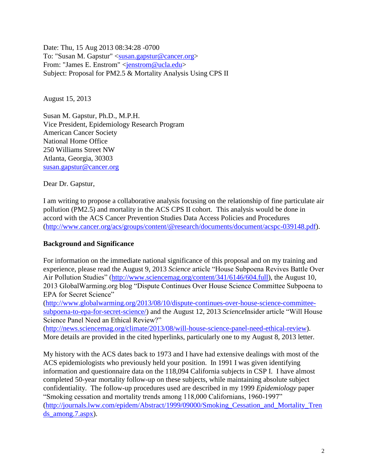Date: Thu, 15 Aug 2013 08:34:28 -0700 To: "Susan M. Gapstur" [<susan.gapstur@cancer.org>](mailto:susan.gapstur@cancer.org) From: "James E. Enstrom" [<jenstrom@ucla.edu>](mailto:jenstrom@ucla.edu) Subject: Proposal for PM2.5 & Mortality Analysis Using CPS II

August 15, 2013

Susan M. Gapstur, Ph.D., M.P.H. Vice President, Epidemiology Research Program American Cancer Society National Home Office 250 Williams Street NW Atlanta, Georgia, 30303 [susan.gapstur@cancer.org](mailto:susan.gapstur@cancer.org)

Dear Dr. Gapstur,

I am writing to propose a collaborative analysis focusing on the relationship of fine particulate air pollution (PM2.5) and mortality in the ACS CPS II cohort. This analysis would be done in accord with the ACS Cancer Prevention Studies Data Access Policies and Procedures [\(http://www.cancer.org/acs/groups/content/@research/documents/document/acspc-039148.pdf\)](http://www.cancer.org/acs/groups/content/@research/documents/document/acspc-039148.pdf).

## **Background and Significance**

For information on the immediate national significance of this proposal and on my training and experience, please read the August 9, 2013 *Science* article "House Subpoena Revives Battle Over Air Pollution Studies" [\(http://www.sciencemag.org/content/341/6146/604.full\)](http://www.sciencemag.org/content/341/6146/604.full), the August 10, 2013 GlobalWarming.org blog "Dispute Continues Over House Science Committee Subpoena to EPA for Secret Science"

[\(http://www.globalwarming.org/2013/08/10/dispute-continues-over-house-science-committee](http://www.globalwarming.org/2013/08/10/dispute-continues-over-house-science-committee-subpoena-to-epa-for-secret-science/)[subpoena-to-epa-for-secret-science/\)](http://www.globalwarming.org/2013/08/10/dispute-continues-over-house-science-committee-subpoena-to-epa-for-secret-science/) and the August 12, 2013 *Science*Insider article "Will House Science Panel Need an Ethical Review?"

[\(http://news.sciencemag.org/climate/2013/08/will-house-science-panel-need-ethical-review\)](http://news.sciencemag.org/climate/2013/08/will-house-science-panel-need-ethical-review). More details are provided in the cited hyperlinks, particularly one to my August 8, 2013 letter.

My history with the ACS dates back to 1973 and I have had extensive dealings with most of the ACS epidemiologists who previously held your position. In 1991 I was given identifying information and questionnaire data on the 118,094 California subjects in CSP I. I have almost completed 50-year mortality follow-up on these subjects, while maintaining absolute subject confidentiality. The follow-up procedures used are described in my 1999 *Epidemiology* paper "Smoking cessation and mortality trends among 118,000 Californians, 1960-1997" [\(http://journals.lww.com/epidem/Abstract/1999/09000/Smoking\\_Cessation\\_and\\_Mortality\\_Tren](http://journals.lww.com/epidem/Abstract/1999/09000/Smoking_Cessation_and_Mortality_Trends_among.7.aspx) ds among.7.aspx).